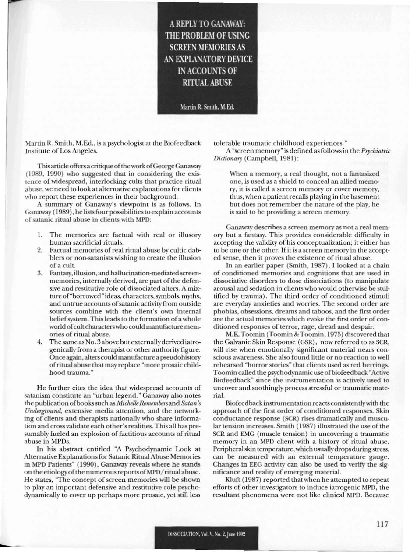A REPLY TO GANAWAY: THE PROBLEM OF USING **SCREEN MEMORIES AS** AN EXPLANATORY DEVICE IN ACCOUNTS OF RITUAL ABUSE

Martin R. Smith, M.Ed.

Martin R. Smith, M.Ed., is a psychologist at the Biofeedback Institute of Los Angeles.

This article offers a critique of the work of George Ganaway (1989, 1990) who suggested that in considering the existence of widespread, interlocking cults that practice ritual abuse, we need to look at alternative explanations for clients who report these experiences in their background.

A summary of Ganaway's viewpoint is as follows. In Ganaway (1989), he lists four possibilities to explain accounts of satanic ritual abuse in clients with MPD:

- 1. The memories are factual with real or illusory human sacrificial rituals.
- 2. Factual memories of real ritual abuse by cultic dabblers or non-satanists wishing to create the illusion of a cult.
- 3. Fantasy, illusion, and haUucination-mediated screenmemories, internally derived, are part of the defensive and restitutive role of dissociated alters. A mixture of "borrowed" ideas, characters, symbols, myths, and untrue accounts of satanic activity from outside sources combine with the client's own internal belief system. This leads to the formation of a whole world of cult characters who could manufacture memories of ritual abuse.
- The same as No. 3 above but externally derived iatrogenically from a therapist or other authority figure. Once again, alters could manufacture a pseudohistory of ritual abuse that may replace "more prosaic childhood trauma."

He further cites the idea that widespread accounts of satanism constitute an "urban legend." Ganaway also notes the publication of books such as *Michelle Remembers* and *Satan's Underground,* extensive media attention, and the networking of clients and therapists nationally who share information and cross validate each other's realities. This all has presumably fueled an explosion of factitious accounts of ritual abuse in MPDs.

In his abstract entitled "A Psychodynamic Look at Alternative Explanationsfor Satanic RitualAbusc Memories in MPD Patients" (1990), Ganaway reveals where he stands on the etiologyofthe numerousreports ofMPD/ ritual abuse. He states, "The concept of screen memories will be shown to play an important defensive and restitutive role psychodynamically to cover up perhaps morc prosaic, yet still less

**-**

tolerable traumatic childhood experiences."

A ;'screen memory" is defined asfollows in the *Psychiatric Dicliona'}'* (Campbell, 1981):

When a memory, a real thought, not a fantasized one, is used as a shield to conceal an allied memory, it is called a screen memory or cover memory, thus, whcn a patientrecalls playing in the basement but does not remember the nature of the play, he is said to be providing a screen memory.

Ganaway describes a screen memory as not a real memory but a fantasy. This provides considerable difficulty in accepting the validity of his conceptualization; it either has to be one or the other. If it is a screen memory in the accepted sense, then it proves the existence of ritual abuse.

In an earlicr paper (Smith, 1987), I looked at a chain of conditioned memories and cognitions that are used in dissociative disorders to dose dissociations (to manipulate arousal and sedation in clients who would otherwise be stultified by trauma). The third order of conditioned stimuli are everyday anxieties and worries. The second order are phobias, obsessions, dreams and taboos, and the first order are the actual memories which evoke the first order of conditioned responses of terror, rage, dread and despair.

M.K. Toomin (Toomin & Toomin, 1975) discovered that the Galvanic Skin Response (GSR), now referred to as SCR, will risc when emotionally significant material nears conscious awareness. She also found little or no reaction to well rehearsed "horror stories" that clients used as red herrings. Toomin called the psychodynamic use of biofeedback "Active Biofeedback" since the instrumentation is actively used to uncover and soothingly process stressful or traumatic materiaL

Biofeedback instrumentation reacts consistentlywith the approach of the first order of conditioned responses. Skin conductance response (SCR) rises dramatically and muscular tension increases. Smith (1987) illustrated the use of the SCR and EMG (muscle tension) in uncovering a traumatic memory in an MPD client with a history of ritual abuse. Peripheral skin temperature, which usually drops during stress, can be measured with an external temperature gauge. Changes in EEG activity can also be used to verify the significance and reality of emerging material.

Kluft (1987) reported that when he attempted to repeat efforts of other investigators to induce iatrogenic MPD, the resultant phenomena were not like clinical MPD. Because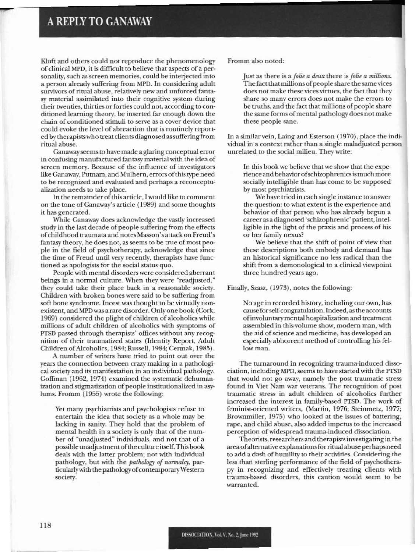## A REPLY TO GANAWAY

----

Kluft and others could not reproduce the phenomenology of clinical MPD, it is difficult to believe that aspects of a personality, such as screen memories, could be interjected into a person already suffering from MPD. In considering adult survivors of ritual abuse, relatively new and unforced fantasy material assimilated into their cognitive system during their twenties, thirties or forties could not, according to conditioned leaming theory, be inserted far enough down the chain of conditioned stimuli to serve as a cover device that could evoke the level of abreaction that is routinely reported by therapists who treat clients diagnosed as suffering from ritual abuse.

Ganaway seems to have made a glaring conceptual error in confusing manufactured fantasy material with the idea of screen memory. Because of the influence of investigators like Ganaway, Putnam, and Mulhern, errors of this type need to be recognized and evaluated and perhaps a reconceptualization needs to take place.

In the remainder of this article, I would like to comment on the tone of Ganaway's article (1989) and some thoughts it has generated.

While Ganaway does acknowledge the vastly increased study in the last decade of people suffering from the effects ofchildhood traumata and nOtes Masson's attack on Freud's fantasy theory. he does not, asseems to be true of most peopic in the field of psychotherapy, acknowledge that since the time of Freud until very recently, therapists have functioned as apologists for the social status quo.

People with mental disorders were considered aberrant beings in a normal culture. When they were "readjusted," they could take their place back in a reasonable society, Children with broken bones were said to be suffering from soft bone syndrome. Incest was thought to be virtually non· existent, and MPD was a rare disorder. Only one book (Cork, 1969) considered the plight of children of alcoholics while millions of adult children of alcoholics with symptoms of PTSD passed through therapists' offices without any recognition of their traumatized states (Identity Report, Adult Children of Alcoholics, 1984; Russell, 1984; Cermak, 1985).

A number of writers have tried to point out over the years the connection between crazy making in a pathological society and its manifestation in an individual pathology. Coffman (1962, 1974) examined the systematic dehumanization and stigmatization of people institutionalized in asylums. Fromm (1955) wrote the following:

Yet many psychiatrists and psychologists refuse to entertain the idea that society as a whole may be lacking in sanity, They hold that the problem of mental health in a society is only that of the number of "unadjusted" individuals, and not that of a possible unadjustmentofthe culture itself. This book deals with the latter problem; not with individual pathology, but with the *pathology* of *normalcy*, particularly with the pathology of contemporary Western society.

Fromm also noted:

Just as there is a *folie a deux* there is *folie a millions*. The fact that millions of people share the same vices does not make these vices virtues, the fact that they share so many errors does not make the errors to be truths, and the fact that millions of people share the same forms of mental pathology does not make these people sane.

In a similar vein, Laing and Esterson (1970), place the individual in a context rather than a single maladjusted person unrelated to the social milieu. They write:

In this book we believe that we show that the experience and behavior of schizophrenics is much more socially intelligible than has come to be supposed by most psychiatrists.

We have tried in each single instance to answer the question: to what extent is the experience and behavior of that person who has already begun a career as adiagnosed 'schizophrenic' patient, intelligible in the light of the praxis and process of his or her family nexus?

We believe that the shift of point of view that these descriptions both embody and demand has an historical significance no less radical than the shift from a demonological to a clinical viewpoint three hundred years ago.

Finally, Szasz, (1973), notes the following:

No age in recorded history, including our own, has cause for self-congratulation. Indeed, as the accounts ofin\'oluntary mental hospitalization and treatment assembled in this volume show. modem man, with the aid of science and medicine, has developed an especially abhorrent method of controlling his fellow man.

The turnaround in recognizing trauma-induced dissociation, including MPD, seems to have started with the PTSD that would not go away, namely the post traumatic stress found in Viet Nam war veterans. The recognition of post traumatic stress in adult children of alcoholics further increased the interest in family-based PTSD. The work of feminist-oriented writers, (Martin, 1976; Steinmetz, 1977; Brownmiller, 1975) who looked at the issues of battering. rape, and child abuse, also added impetus to the increased perception of widespread trauma-induced dissociation.

Theorists. researchers and therapistsinvestigatingin the areaofaIternativc explanationsfor ritual abuse perhaps need to add a dash of humility to their activities. Considering the less than sterling performance of the field of psychotherapy in recognizing and effectively treating clients with trauma-based disorders, this caution would seem to be warranted.